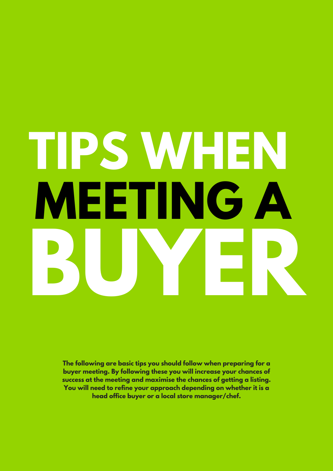# **TIPS WHEN MEETING A BUYER**

**The following are basic tips you should follow when preparing for a buyer meeting. By following these you will increase your chances of success at the meeting and maximise the chances of getting a listing. You will need to refine your approach depending on whether it is a head office buyer or a local store manager/chef.**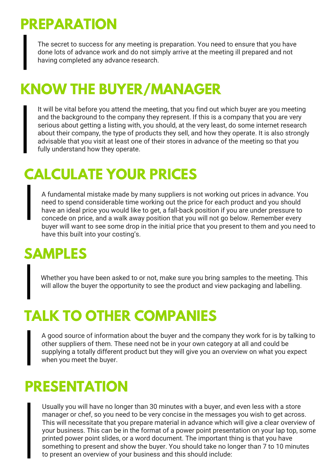# **PREPARATION**

The secret to success for any meeting is preparation. You need to ensure that you have done lots of advance work and do not simply arrive at the meeting ill prepared and not having completed any advance research.

# **KNOW THE BUYER/MANAGER**

It will be vital before you attend the meeting, that you find out which buyer are you meeting and the background to the company they represent. If this is a company that you are very serious about getting a listing with, you should, at the very least, do some internet research about their company, the type of products they sell, and how they operate. It is also strongly advisable that you visit at least one of their stores in advance of the meeting so that you fully understand how they operate.

#### **CALCULATE YOUR PRICES**

A fundamental mistake made by many suppliers is not working out prices in advance. You need to spend considerable time working out the price for each product and you should have an ideal price you would like to get, a fall-back position if you are under pressure to concede on price, and a walk away position that you will not go below. Remember every buyer will want to see some drop in the initial price that you present to them and you need to have this built into your costing's.

#### **SAMPLES**

Whether you have been asked to or not, make sure you bring samples to the meeting. This will allow the buyer the opportunity to see the product and view packaging and labelling.

# **TALK TO OTHER COMPANIES**

A good source of information about the buyer and the company they work for is by talking to other suppliers of them. These need not be in your own category at all and could be supplying a totally different product but they will give you an overview on what you expect when you meet the buyer.

#### **PRESENTATION**

Usually you will have no longer than 30 minutes with a buyer, and even less with a store manager or chef, so you need to be very concise in the messages you wish to get across. This will necessitate that you prepare material in advance which will give a clear overview of your business. This can be in the format of a power point presentation on your lap top, some printed power point slides, or a word document. The important thing is that you have something to present and show the buyer. You should take no longer than 7 to 10 minutes to present an overview of your business and this should include: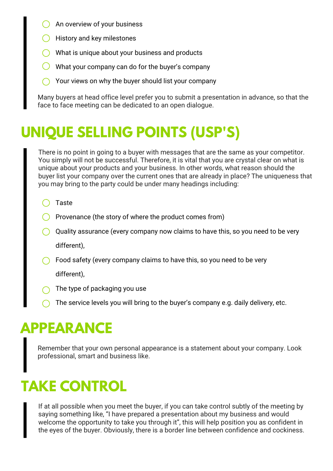- An overview of your business
- $\bigcirc$  History and key milestones
- What is unique about your business and products
- What your company can do for the buyer's company
- $\bigcirc$  Your views on why the buyer should list your company

Many buyers at head office level prefer you to submit a presentation in advance, so that the face to face meeting can be dedicated to an open dialogue.

# **UNIQUE SELLING POINTS (USP'S)**

There is no point in going to a buyer with messages that are the same as your competitor. You simply will not be successful. Therefore, it is vital that you are crystal clear on what is unique about your products and your business. In other words, what reason should the buyer list your company over the current ones that are already in place? The uniqueness that you may bring to the party could be under many headings including:

- C Taste
- $\bigcirc$  Provenance (the story of where the product comes from)
- $\bigcirc$  Quality assurance (every company now claims to have this, so you need to be very different),
- Food safety (every company claims to have this, so you need to be very

different),

- The type of packaging you use
- The service levels you will bring to the buyer's company e.g. daily delivery, etc.

## **APPEARANCE**

Remember that your own personal appearance is a statement about your company. Look professional, smart and business like.

# **TAKE CONTROL**

If at all possible when you meet the buyer, if you can take control subtly of the meeting by saying something like, "I have prepared a presentation about my business and would welcome the opportunity to take you through it", this will help position you as confident in the eyes of the buyer. Obviously, there is a border line between confidence and cockiness.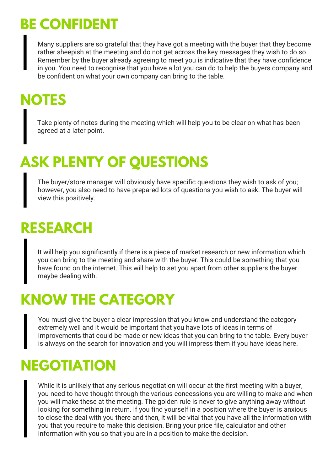# **BE CONFIDENT**

Many suppliers are so grateful that they have got a meeting with the buyer that they become rather sheepish at the meeting and do not get across the key messages they wish to do so. Remember by the buyer already agreeing to meet you is indicative that they have confidence in you. You need to recognise that you have a lot you can do to help the buyers company and be confident on what your own company can bring to the table.

# **NOTES**

Take plenty of notes during the meeting which will help you to be clear on what has been agreed at a later point.

# **ASK PLENTY OF QUESTIONS**

The buyer/store manager will obviously have specific questions they wish to ask of you; however, you also need to have prepared lots of questions you wish to ask. The buyer will view this positively.

# **RESEARCH**

It will help you significantly if there is a piece of market research or new information which you can bring to the meeting and share with the buyer. This could be something that you have found on the internet. This will help to set you apart from other suppliers the buyer maybe dealing with.

## **KNOW THE CATEGORY**

You must give the buyer a clear impression that you know and understand the category extremely well and it would be important that you have lots of ideas in terms of improvements that could be made or new ideas that you can bring to the table. Every buyer is always on the search for innovation and you will impress them if you have ideas here.

### **NEGOTIATION**

While it is unlikely that any serious negotiation will occur at the first meeting with a buyer, you need to have thought through the various concessions you are willing to make and when you will make these at the meeting. The golden rule is never to give anything away without looking for something in return. If you find yourself in a position where the buyer is anxious to close the deal with you there and then, it will be vital that you have all the information with you that you require to make this decision. Bring your price file, calculator and other information with you so that you are in a position to make the decision.